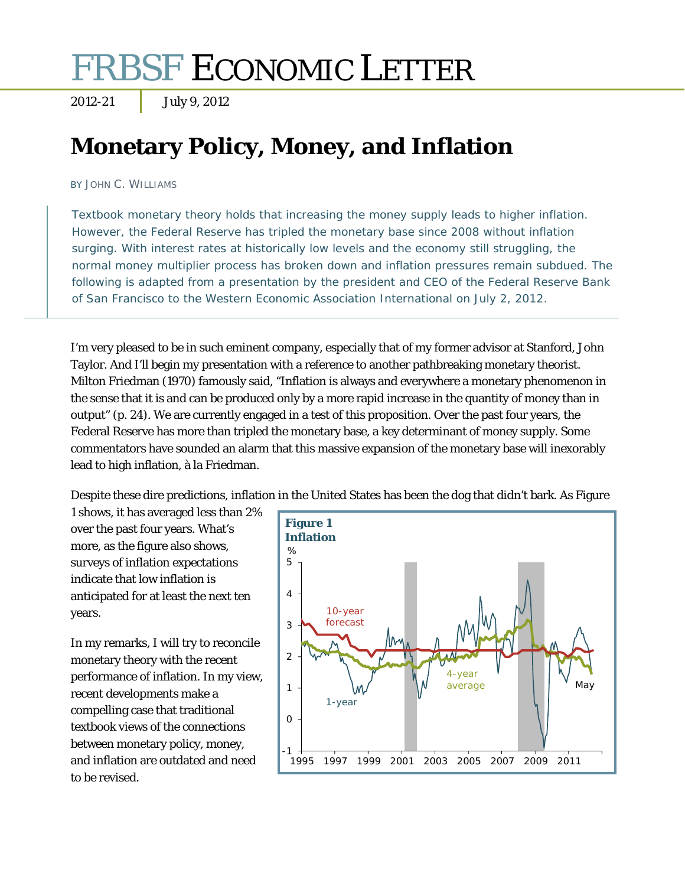# FRBSF ECONOMIC LETTER

2012-21 July 9, 2012

## **Monetary Policy, Money, and Inflation**

BY JOHN C. WILLIAMS

Textbook monetary theory holds that increasing the money supply leads to higher inflation. However, the Federal Reserve has tripled the monetary base since 2008 without inflation surging. With interest rates at historically low levels and the economy still struggling, the normal money multiplier process has broken down and inflation pressures remain subdued. The following is adapted from a presentation by the president and CEO of the Federal Reserve Bank of San Francisco to the Western Economic Association International on July 2, 2012.

I'm very pleased to be in such eminent company, especially that of my former advisor at Stanford, John Taylor. And I'll begin my presentation with a reference to another pathbreaking monetary theorist. Milton Friedman (1970) famously said, "Inflation is always and everywhere a monetary phenomenon in the sense that it is and can be produced only by a more rapid increase in the quantity of money than in output" (p. 24). We are currently engaged in a test of this proposition. Over the past four years, the Federal Reserve has more than tripled the monetary base, a key determinant of money supply. Some commentators have sounded an alarm that this massive expansion of the monetary base will inexorably lead to high inflation, à la Friedman.

Despite these dire predictions, inflation in the United States has been the dog that didn't bark. As Figure

1 shows, it has averaged less than 2% over the past four years. What's more, as the figure also shows, surveys of inflation expectations indicate that low inflation is anticipated for at least the next ten years.

In my remarks, I will try to reconcile monetary theory with the recent performance of inflation. In my view, recent developments make a compelling case that traditional textbook views of the connections between monetary policy, money, and inflation are outdated and need to be revised.

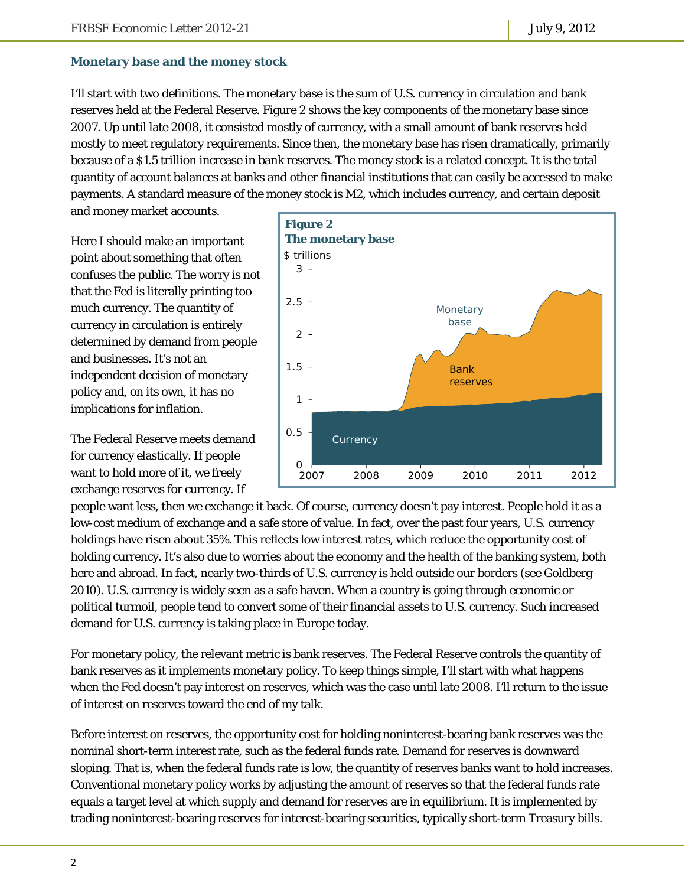#### **Monetary base and the money stock**

I'll start with two definitions. The monetary base is the sum of U.S. currency in circulation and bank reserves held at the Federal Reserve. Figure 2 shows the key components of the monetary base since 2007. Up until late 2008, it consisted mostly of currency, with a small amount of bank reserves held mostly to meet regulatory requirements. Since then, the monetary base has risen dramatically, primarily because of a \$1.5 trillion increase in bank reserves. The money stock is a related concept. It is the total quantity of account balances at banks and other financial institutions that can easily be accessed to make payments. A standard measure of the money stock is M2, which includes currency, and certain deposit

and money market accounts.

Here I should make an important point about something that often confuses the public. The worry is *not* that the Fed is literally printing too much currency. The quantity of currency in circulation is entirely determined by demand from people and businesses. It's not an independent decision of monetary policy and, on its own, it has no implications for inflation.

The Federal Reserve meets demand for currency elastically. If people want to hold more of it, we freely exchange reserves for currency. If



people want less, then we exchange it back. Of course, currency doesn't pay interest. People hold it as a low-cost medium of exchange and a safe store of value. In fact, over the past four years, U.S. currency holdings have risen about 35%. This reflects low interest rates, which reduce the opportunity cost of holding currency. It's also due to worries about the economy and the health of the banking system, both here and abroad. In fact, nearly two-thirds of U.S. currency is held outside our borders (see Goldberg 2010). U.S. currency is widely seen as a safe haven. When a country is going through economic or political turmoil, people tend to convert some of their financial assets to U.S. currency. Such increased demand for U.S. currency is taking place in Europe today.

For monetary policy, the relevant metric is bank reserves. The Federal Reserve controls the quantity of bank reserves as it implements monetary policy. To keep things simple, I'll start with what happens when the Fed doesn't pay interest on reserves, which was the case until late 2008. I'll return to the issue of interest on reserves toward the end of my talk.

Before interest on reserves, the opportunity cost for holding noninterest-bearing bank reserves was the nominal short-term interest rate, such as the federal funds rate. Demand for reserves is downward sloping. That is, when the federal funds rate is low, the quantity of reserves banks want to hold increases. Conventional monetary policy works by adjusting the amount of reserves so that the federal funds rate equals a target level at which supply and demand for reserves are in equilibrium. It is implemented by trading noninterest-bearing reserves for interest-bearing securities, typically short-term Treasury bills.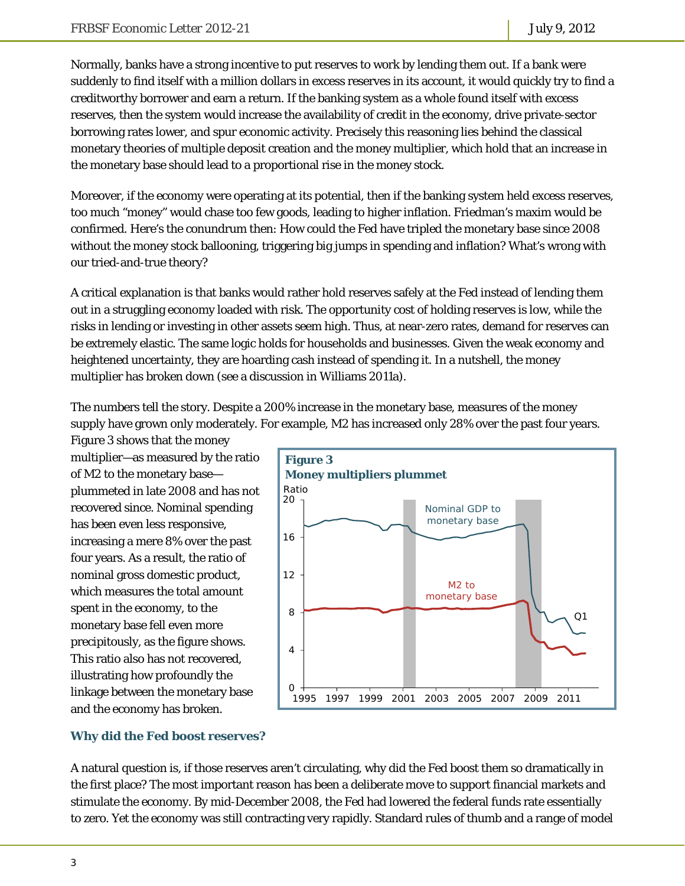Normally, banks have a strong incentive to put reserves to work by lending them out. If a bank were suddenly to find itself with a million dollars in excess reserves in its account, it would quickly try to find a creditworthy borrower and earn a return. If the banking system as a whole found itself with excess reserves, then the system would increase the availability of credit in the economy, drive private-sector borrowing rates lower, and spur economic activity. Precisely this reasoning lies behind the classical monetary theories of multiple deposit creation and the money multiplier, which hold that an increase in the monetary base should lead to a proportional rise in the money stock.

Moreover, if the economy were operating at its potential, then if the banking system held excess reserves, too much "money" would chase too few goods, leading to higher inflation. Friedman's maxim would be confirmed. Here's the conundrum then: How could the Fed have tripled the monetary base since 2008 without the money stock ballooning, triggering big jumps in spending and inflation? What's wrong with our tried-and-true theory?

A critical explanation is that banks would rather hold reserves safely at the Fed instead of lending them out in a struggling economy loaded with risk. The opportunity cost of holding reserves is low, while the risks in lending or investing in other assets seem high. Thus, at near-zero rates, demand for reserves can be extremely elastic. The same logic holds for households and businesses. Given the weak economy and heightened uncertainty, they are hoarding cash instead of spending it. In a nutshell, the money multiplier has broken down (see a discussion in Williams 2011a).

The numbers tell the story. Despite a 200% increase in the monetary base, measures of the money supply have grown only moderately. For example, M2 has increased only 28% over the past four years.

Figure 3 shows that the money multiplier—as measured by the ratio of M2 to the monetary base plummeted in late 2008 and has not recovered since. Nominal spending has been even less responsive, increasing a mere 8% over the past four years. As a result, the ratio of nominal gross domestic product, which measures the total amount spent in the economy, to the monetary base fell even more precipitously, as the figure shows. This ratio also has not recovered, illustrating how profoundly the linkage between the monetary base and the economy has broken.



### **Why did the Fed boost reserves?**

A natural question is, if those reserves aren't circulating, why did the Fed boost them so dramatically in the first place? The most important reason has been a deliberate move to support financial markets and stimulate the economy. By mid-December 2008, the Fed had lowered the federal funds rate essentially to zero. Yet the economy was still contracting very rapidly. Standard rules of thumb and a range of model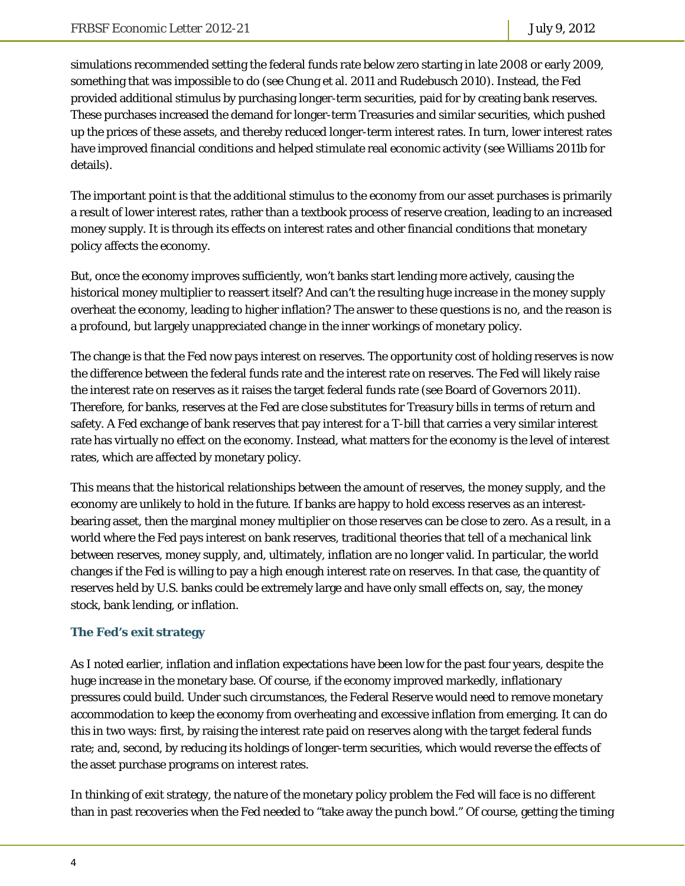simulations recommended setting the federal funds rate below zero starting in late 2008 or early 2009, something that was impossible to do (see Chung et al. 2011 and Rudebusch 2010). Instead, the Fed provided additional stimulus by purchasing longer-term securities, paid for by creating bank reserves. These purchases increased the demand for longer-term Treasuries and similar securities, which pushed up the prices of these assets, and thereby reduced longer-term interest rates. In turn, lower interest rates have improved financial conditions and helped stimulate real economic activity (see Williams 2011b for details).

The important point is that the additional stimulus to the economy from our asset purchases is primarily a result of lower interest rates, rather than a textbook process of reserve creation, leading to an increased money supply. It is through its effects on interest rates and other financial conditions that monetary policy affects the economy.

But, once the economy improves sufficiently, won't banks start lending more actively, causing the historical money multiplier to reassert itself? And can't the resulting huge increase in the money supply overheat the economy, leading to higher inflation? The answer to these questions is no, and the reason is a profound, but largely unappreciated change in the inner workings of monetary policy.

The change is that the Fed now pays interest on reserves. The opportunity cost of holding reserves is now the difference between the federal funds rate and the interest rate on reserves. The Fed will likely raise the interest rate on reserves as it raises the target federal funds rate (see Board of Governors 2011). Therefore, for banks, reserves at the Fed are close substitutes for Treasury bills in terms of return and safety. A Fed exchange of bank reserves that pay interest for a T-bill that carries a very similar interest rate has virtually no effect on the economy. Instead, what matters for the economy is the level of interest rates, which are affected by monetary policy.

This means that the historical relationships between the amount of reserves, the money supply, and the economy are unlikely to hold in the future. If banks are happy to hold excess reserves as an interestbearing asset, then the marginal money multiplier on those reserves can be close to zero. As a result, in a world where the Fed pays interest on bank reserves, traditional theories that tell of a mechanical link between reserves, money supply, and, ultimately, inflation are no longer valid. In particular, the world changes if the Fed is willing to pay a high enough interest rate on reserves. In that case, the quantity of reserves held by U.S. banks could be extremely large and have only small effects on, say, the money stock, bank lending, or inflation.

#### **The Fed's exit strategy**

As I noted earlier, inflation and inflation expectations have been low for the past four years, despite the huge increase in the monetary base. Of course, if the economy improved markedly, inflationary pressures could build. Under such circumstances, the Federal Reserve would need to remove monetary accommodation to keep the economy from overheating and excessive inflation from emerging. It can do this in two ways: first, by raising the interest rate paid on reserves along with the target federal funds rate; and, second, by reducing its holdings of longer-term securities, which would reverse the effects of the asset purchase programs on interest rates.

In thinking of exit strategy, the nature of the monetary policy problem the Fed will face is no different than in past recoveries when the Fed needed to "take away the punch bowl." Of course, getting the timing